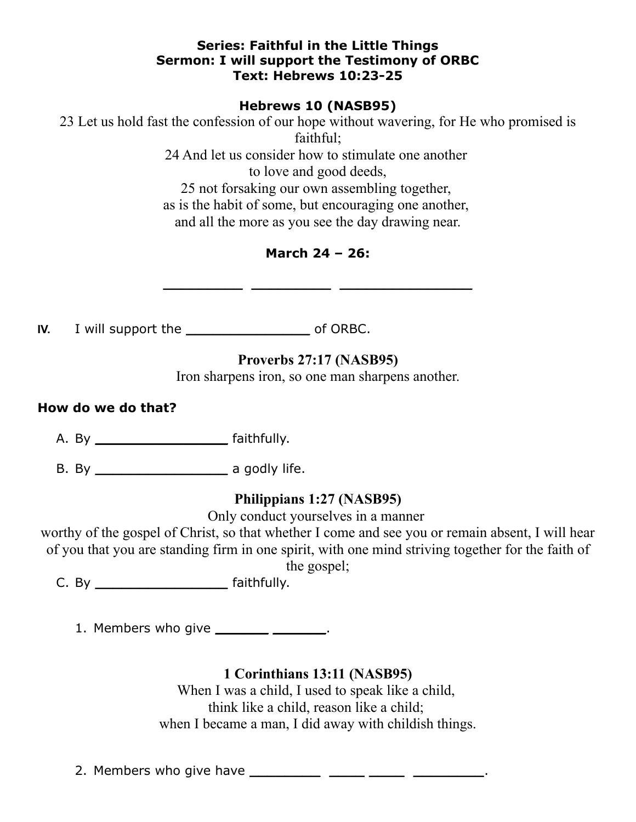#### **Series: Faithful in the Little Things Sermon: I will support the Testimony of ORBC Text: Hebrews 10:23-25**

**Hebrews 10 (NASB95)**

23 Let us hold fast the confession of our hope without wavering, for He who promised is faithful;

24 And let us consider how to stimulate one another to love and good deeds, 25 not forsaking our own assembling together, as is the habit of some, but encouraging one another, and all the more as you see the day drawing near.

# **March 24 – 26:**

**\_\_\_\_\_\_\_\_\_ \_\_\_\_\_\_\_\_\_ \_\_\_\_\_\_\_\_\_\_\_\_\_\_\_**

**IV.** I will support the **\_\_\_\_\_\_\_\_\_\_\_\_\_\_** of ORBC.

# **Proverbs 27:17 (NASB95)**

Iron sharpens iron, so one man sharpens another.

#### **How do we do that?**

A. By **\_\_\_\_\_\_\_\_\_\_\_\_\_\_\_** faithfully.

B. By **\_\_\_\_\_\_\_\_\_\_\_\_\_\_\_** a godly life.

## **Philippians 1:27 (NASB95)**

Only conduct yourselves in a manner

worthy of the gospel of Christ, so that whether I come and see you or remain absent, I will hear of you that you are standing firm in one spirit, with one mind striving together for the faith of

the gospel;

C. By **\_\_\_\_\_\_\_\_\_\_\_\_\_\_\_** faithfully.

1. Members who give **\_\_\_\_\_\_ \_\_\_\_\_\_**.

## **1 Corinthians 13:11 (NASB95)**

When I was a child, I used to speak like a child, think like a child, reason like a child; when I became a man, I did away with childish things.

2. Members who give have **\_\_\_\_\_\_\_\_ \_\_\_\_ \_\_\_\_ \_\_\_\_\_\_\_\_**.